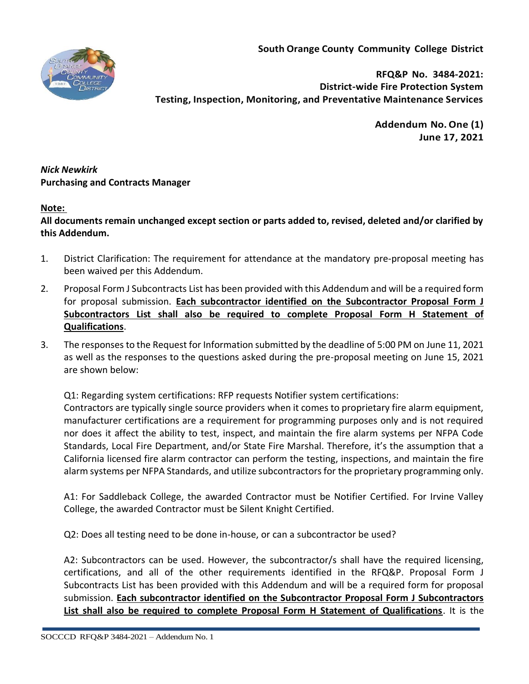**South Orange County Community College District**



**RFQ&P No. 3484-2021: District-wide Fire Protection System Testing, Inspection, Monitoring, and Preventative Maintenance Services**

> **Addendum No.One (1) June 17, 2021**

*Nick Newkirk*  **Purchasing and Contracts Manager** 

## **Note:**

**All documents remain unchanged except section or parts added to, revised, deleted and/or clarified by this Addendum.**

- 1. District Clarification: The requirement for attendance at the mandatory pre-proposal meeting has been waived per this Addendum.
- 2. Proposal Form J Subcontracts List has been provided with this Addendum and will be a required form for proposal submission. **Each subcontractor identified on the Subcontractor Proposal Form J Subcontractors List shall also be required to complete Proposal Form H Statement of Qualifications**.
- 3. The responses to the Request for Information submitted by the deadline of 5:00 PM on June 11, 2021 as well as the responses to the questions asked during the pre-proposal meeting on June 15, 2021 are shown below:

Q1: Regarding system certifications: RFP requests Notifier system certifications:

Contractors are typically single source providers when it comes to proprietary fire alarm equipment, manufacturer certifications are a requirement for programming purposes only and is not required nor does it affect the ability to test, inspect, and maintain the fire alarm systems per NFPA Code Standards, Local Fire Department, and/or State Fire Marshal. Therefore, it's the assumption that a California licensed fire alarm contractor can perform the testing, inspections, and maintain the fire alarm systems per NFPA Standards, and utilize subcontractors for the proprietary programming only.

A1: For Saddleback College, the awarded Contractor must be Notifier Certified. For Irvine Valley College, the awarded Contractor must be Silent Knight Certified.

Q2: Does all testing need to be done in-house, or can a subcontractor be used?

A2: Subcontractors can be used. However, the subcontractor/s shall have the required licensing, certifications, and all of the other requirements identified in the RFQ&P. Proposal Form J Subcontracts List has been provided with this Addendum and will be a required form for proposal submission. **Each subcontractor identified on the Subcontractor Proposal Form J Subcontractors List shall also be required to complete Proposal Form H Statement of Qualifications**. It is the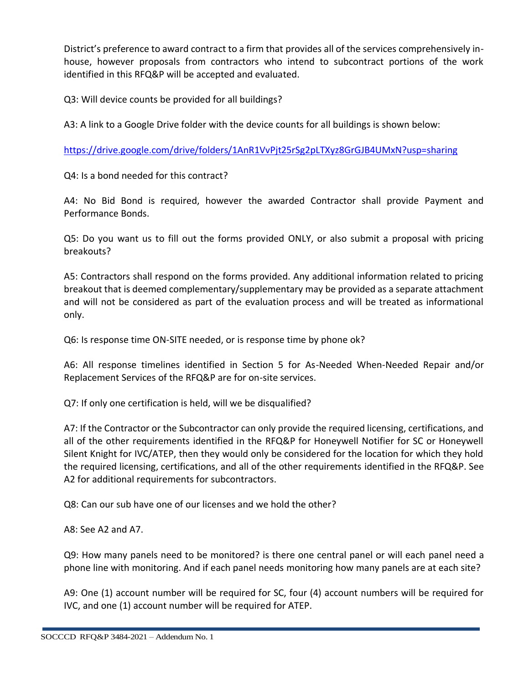District's preference to award contract to a firm that provides all of the services comprehensively inhouse, however proposals from contractors who intend to subcontract portions of the work identified in this RFQ&P will be accepted and evaluated.

Q3: Will device counts be provided for all buildings?

A3: A link to a Google Drive folder with the device counts for all buildings is shown below:

<https://drive.google.com/drive/folders/1AnR1VvPjt25rSg2pLTXyz8GrGJB4UMxN?usp=sharing>

Q4: Is a bond needed for this contract?

A4: No Bid Bond is required, however the awarded Contractor shall provide Payment and Performance Bonds.

Q5: Do you want us to fill out the forms provided ONLY, or also submit a proposal with pricing breakouts?

A5: Contractors shall respond on the forms provided. Any additional information related to pricing breakout that is deemed complementary/supplementary may be provided as a separate attachment and will not be considered as part of the evaluation process and will be treated as informational only.

Q6: Is response time ON-SITE needed, or is response time by phone ok?

A6: All response timelines identified in Section 5 for As-Needed When-Needed Repair and/or Replacement Services of the RFQ&P are for on-site services.

Q7: If only one certification is held, will we be disqualified?

A7: If the Contractor or the Subcontractor can only provide the required licensing, certifications, and all of the other requirements identified in the RFQ&P for Honeywell Notifier for SC or Honeywell Silent Knight for IVC/ATEP, then they would only be considered for the location for which they hold the required licensing, certifications, and all of the other requirements identified in the RFQ&P. See A2 for additional requirements for subcontractors.

Q8: Can our sub have one of our licenses and we hold the other?

A8: See A2 and A7.

Q9: How many panels need to be monitored? is there one central panel or will each panel need a phone line with monitoring. And if each panel needs monitoring how many panels are at each site?

A9: One (1) account number will be required for SC, four (4) account numbers will be required for IVC, and one (1) account number will be required for ATEP.